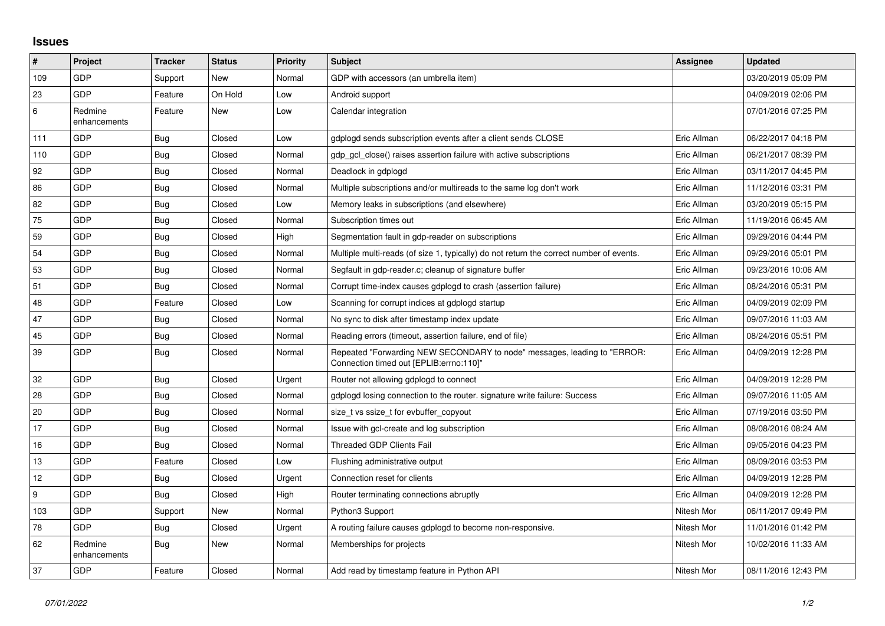## **Issues**

| $\sharp$ | Project                 | <b>Tracker</b> | <b>Status</b> | <b>Priority</b> | <b>Subject</b>                                                                                                      | Assignee    | <b>Updated</b>      |
|----------|-------------------------|----------------|---------------|-----------------|---------------------------------------------------------------------------------------------------------------------|-------------|---------------------|
| 109      | GDP                     | Support        | New           | Normal          | GDP with accessors (an umbrella item)                                                                               |             | 03/20/2019 05:09 PM |
| 23       | <b>GDP</b>              | Feature        | On Hold       | Low             | Android support                                                                                                     |             | 04/09/2019 02:06 PM |
| 6        | Redmine<br>enhancements | Feature        | New           | Low             | Calendar integration                                                                                                |             | 07/01/2016 07:25 PM |
| 111      | GDP                     | Bug            | Closed        | Low             | gdplogd sends subscription events after a client sends CLOSE                                                        | Eric Allman | 06/22/2017 04:18 PM |
| 110      | <b>GDP</b>              | Bug            | Closed        | Normal          | gdp gcl close() raises assertion failure with active subscriptions                                                  | Eric Allman | 06/21/2017 08:39 PM |
| 92       | GDP                     | <b>Bug</b>     | Closed        | Normal          | Deadlock in gdplogd                                                                                                 | Eric Allman | 03/11/2017 04:45 PM |
| 86       | GDP                     | Bug            | Closed        | Normal          | Multiple subscriptions and/or multireads to the same log don't work                                                 | Eric Allman | 11/12/2016 03:31 PM |
| 82       | <b>GDP</b>              | <b>Bug</b>     | Closed        | Low             | Memory leaks in subscriptions (and elsewhere)                                                                       | Eric Allman | 03/20/2019 05:15 PM |
| 75       | GDP                     | <b>Bug</b>     | Closed        | Normal          | Subscription times out                                                                                              | Eric Allman | 11/19/2016 06:45 AM |
| 59       | GDP                     | Bug            | Closed        | High            | Segmentation fault in gdp-reader on subscriptions                                                                   | Eric Allman | 09/29/2016 04:44 PM |
| 54       | <b>GDP</b>              | <b>Bug</b>     | Closed        | Normal          | Multiple multi-reads (of size 1, typically) do not return the correct number of events.                             | Eric Allman | 09/29/2016 05:01 PM |
| 53       | GDP                     | Bug            | Closed        | Normal          | Segfault in gdp-reader.c; cleanup of signature buffer                                                               | Eric Allman | 09/23/2016 10:06 AM |
| 51       | GDP                     | Bug            | Closed        | Normal          | Corrupt time-index causes gdplogd to crash (assertion failure)                                                      | Eric Allman | 08/24/2016 05:31 PM |
| 48       | GDP                     | Feature        | Closed        | Low             | Scanning for corrupt indices at gdplogd startup                                                                     | Eric Allman | 04/09/2019 02:09 PM |
| 47       | GDP                     | Bug            | Closed        | Normal          | No sync to disk after timestamp index update                                                                        | Eric Allman | 09/07/2016 11:03 AM |
| 45       | GDP                     | Bug            | Closed        | Normal          | Reading errors (timeout, assertion failure, end of file)                                                            | Eric Allman | 08/24/2016 05:51 PM |
| 39       | GDP                     | Bug            | Closed        | Normal          | Repeated "Forwarding NEW SECONDARY to node" messages, leading to "ERROR:<br>Connection timed out [EPLIB:errno:110]" | Eric Allman | 04/09/2019 12:28 PM |
| 32       | <b>GDP</b>              | <b>Bug</b>     | Closed        | Urgent          | Router not allowing gdplogd to connect                                                                              | Eric Allman | 04/09/2019 12:28 PM |
| 28       | GDP                     | <b>Bug</b>     | Closed        | Normal          | gdplogd losing connection to the router, signature write failure: Success                                           | Eric Allman | 09/07/2016 11:05 AM |
| 20       | GDP                     | Bug            | Closed        | Normal          | size t vs ssize t for evbuffer copyout                                                                              | Eric Allman | 07/19/2016 03:50 PM |
| 17       | <b>GDP</b>              | Bug            | Closed        | Normal          | Issue with gcl-create and log subscription                                                                          | Eric Allman | 08/08/2016 08:24 AM |
| 16       | GDP                     | <b>Bug</b>     | Closed        | Normal          | <b>Threaded GDP Clients Fail</b>                                                                                    | Eric Allman | 09/05/2016 04:23 PM |
| 13       | GDP                     | Feature        | Closed        | Low             | Flushing administrative output                                                                                      | Eric Allman | 08/09/2016 03:53 PM |
| 12       | <b>GDP</b>              | Bug            | Closed        | Urgent          | Connection reset for clients                                                                                        | Eric Allman | 04/09/2019 12:28 PM |
| 9        | GDP                     | Bug            | Closed        | High            | Router terminating connections abruptly                                                                             | Eric Allman | 04/09/2019 12:28 PM |
| 103      | GDP                     | Support        | New           | Normal          | Python3 Support                                                                                                     | Nitesh Mor  | 06/11/2017 09:49 PM |
| 78       | <b>GDP</b>              | Bug            | Closed        | Urgent          | A routing failure causes gdplogd to become non-responsive.                                                          | Nitesh Mor  | 11/01/2016 01:42 PM |
| 62       | Redmine<br>enhancements | Bug            | New           | Normal          | Memberships for projects                                                                                            | Nitesh Mor  | 10/02/2016 11:33 AM |
| 37       | GDP                     | Feature        | Closed        | Normal          | Add read by timestamp feature in Python API                                                                         | Nitesh Mor  | 08/11/2016 12:43 PM |